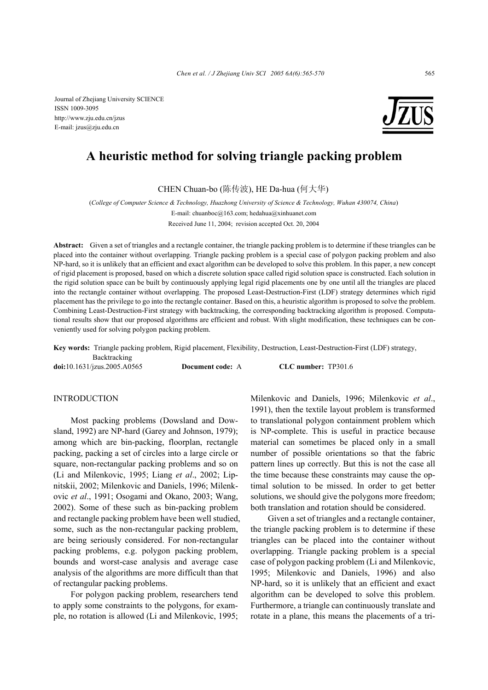Journal of Zhejiang University SCIENCE ISSN 1009-3095 http://www.zju.edu.cn/jzus E-mail: jzus@zju.edu.cn



# **A heuristic method for solving triangle packing problem**

CHEN Chuan-bo (陈传波), HE Da-hua (何大华)

(*College of Computer Science & Technology, Huazhong University of Science & Technology, Wuhan 430074, China*)

E-mail: chuanboc@163.com; hedahua@xinhuanet.com Received June 11, 2004; revision accepted Oct. 20, 2004

**Abstract:** Given a set of triangles and a rectangle container, the triangle packing problem is to determine if these triangles can be placed into the container without overlapping. Triangle packing problem is a special case of polygon packing problem and also NP-hard, so it is unlikely that an efficient and exact algorithm can be developed to solve this problem. In this paper, a new concept of rigid placement is proposed, based on which a discrete solution space called rigid solution space is constructed. Each solution in the rigid solution space can be built by continuously applying legal rigid placements one by one until all the triangles are placed into the rectangle container without overlapping. The proposed Least-Destruction-First (LDF) strategy determines which rigid placement has the privilege to go into the rectangle container. Based on this, a heuristic algorithm is proposed to solve the problem. Combining Least-Destruction-First strategy with backtracking, the corresponding backtracking algorithm is proposed. Computational results show that our proposed algorithms are efficient and robust. With slight modification, these techniques can be conveniently used for solving polygon packing problem.

**Key words:** Triangle packing problem, Rigid placement, Flexibility, Destruction, Least-Destruction-First (LDF) strategy, Backtracking

**doi:**10.1631/jzus.2005.A0565 **Document code:** A **CLC number:** TP301.6

# **INTRODUCTION**

Most packing problems (Dowsland and Dowsland, 1992) are NP-hard (Garey and Johnson, 1979); among which are bin-packing, floorplan, rectangle packing, packing a set of circles into a large circle or square, non-rectangular packing problems and so on (Li and Milenkovic, 1995; Liang *et al*., 2002; Lipnitskii, 2002; Milenkovic and Daniels, 1996; Milenkovic *et al*., 1991; Osogami and Okano, 2003; Wang, 2002). Some of these such as bin-packing problem and rectangle packing problem have been well studied, some, such as the non-rectangular packing problem, are being seriously considered. For non-rectangular packing problems, e.g. polygon packing problem, bounds and worst-case analysis and average case analysis of the algorithms are more difficult than that of rectangular packing problems.

For polygon packing problem, researchers tend to apply some constraints to the polygons, for example, no rotation is allowed (Li and Milenkovic, 1995; Milenkovic and Daniels, 1996; Milenkovic *et al*., 1991), then the textile layout problem is transformed to translational polygon containment problem which is NP-complete. This is useful in practice because material can sometimes be placed only in a small number of possible orientations so that the fabric pattern lines up correctly. But this is not the case all the time because these constraints may cause the optimal solution to be missed. In order to get better solutions, we should give the polygons more freedom; both translation and rotation should be considered.

Given a set of triangles and a rectangle container, the triangle packing problem is to determine if these triangles can be placed into the container without overlapping. Triangle packing problem is a special case of polygon packing problem (Li and Milenkovic, 1995; Milenkovic and Daniels, 1996) and also NP-hard, so it is unlikely that an efficient and exact algorithm can be developed to solve this problem. Furthermore, a triangle can continuously translate and rotate in a plane, this means the placements of a tri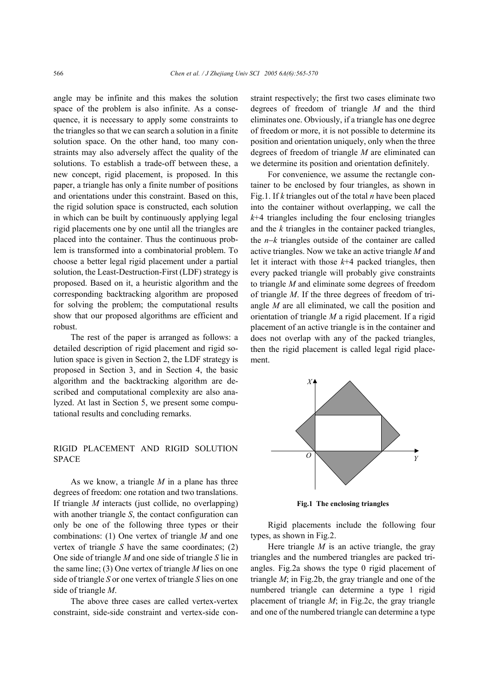angle may be infinite and this makes the solution space of the problem is also infinite. As a consequence, it is necessary to apply some constraints to the triangles so that we can search a solution in a finite solution space. On the other hand, too many constraints may also adversely affect the quality of the solutions. To establish a trade-off between these, a new concept, rigid placement, is proposed. In this paper, a triangle has only a finite number of positions and orientations under this constraint. Based on this, the rigid solution space is constructed, each solution in which can be built by continuously applying legal rigid placements one by one until all the triangles are placed into the container. Thus the continuous problem is transformed into a combinatorial problem. To choose a better legal rigid placement under a partial solution, the Least-Destruction-First (LDF) strategy is proposed. Based on it, a heuristic algorithm and the corresponding backtracking algorithm are proposed for solving the problem; the computational results show that our proposed algorithms are efficient and robust.

The rest of the paper is arranged as follows: a detailed description of rigid placement and rigid solution space is given in Section 2, the LDF strategy is proposed in Section 3, and in Section 4, the basic algorithm and the backtracking algorithm are described and computational complexity are also analyzed. At last in Section 5, we present some computational results and concluding remarks.

## RIGID PLACEMENT AND RIGID SOLUTION SPACE

As we know, a triangle *M* in a plane has three degrees of freedom: one rotation and two translations. If triangle *M* interacts (just collide, no overlapping) with another triangle *S*, the contact configuration can only be one of the following three types or their combinations: (1) One vertex of triangle *M* and one vertex of triangle *S* have the same coordinates; (2) One side of triangle *M* and one side of triangle *S* lie in the same line; (3) One vertex of triangle *M* lies on one side of triangle *S* or one vertex of triangle *S* lies on one side of triangle *M*.

The above three cases are called vertex-vertex constraint, side-side constraint and vertex-side constraint respectively; the first two cases eliminate two degrees of freedom of triangle *M* and the third eliminates one. Obviously, if a triangle has one degree of freedom or more, it is not possible to determine its position and orientation uniquely, only when the three degrees of freedom of triangle *M* are eliminated can we determine its position and orientation definitely.

For convenience, we assume the rectangle container to be enclosed by four triangles, as shown in Fig.1. If *k* triangles out of the total *n* have been placed into the container without overlapping, we call the  $k+4$  triangles including the four enclosing triangles and the *k* triangles in the container packed triangles, the *n*−*k* triangles outside of the container are called active triangles. Now we take an active triangle *M* and let it interact with those *k*+4 packed triangles, then every packed triangle will probably give constraints to triangle *M* and eliminate some degrees of freedom of triangle *M*. If the three degrees of freedom of triangle *M* are all eliminated, we call the position and orientation of triangle *M* a rigid placement. If a rigid placement of an active triangle is in the container and does not overlap with any of the packed triangles, then the rigid placement is called legal rigid placement.



**Fig.1 The enclosing triangles** 

Rigid placements include the following four types, as shown in Fig.2.

Here triangle  $M$  is an active triangle, the gray triangles and the numbered triangles are packed triangles. Fig.2a shows the type 0 rigid placement of triangle *M*; in Fig.2b, the gray triangle and one of the numbered triangle can determine a type 1 rigid placement of triangle *M*; in Fig.2c, the gray triangle and one of the numbered triangle can determine a type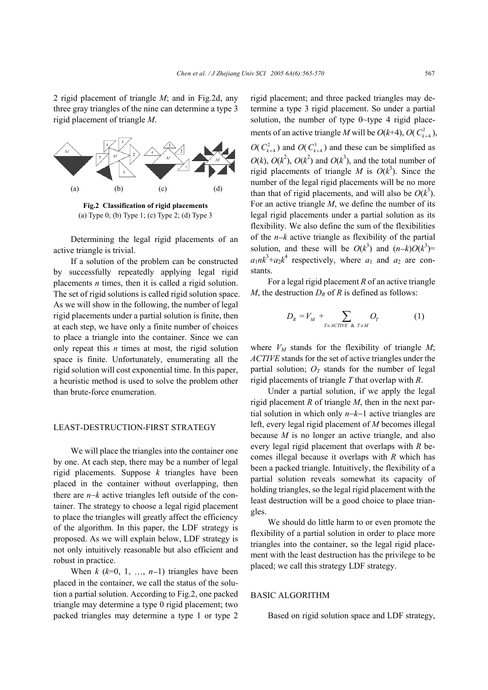2 rigid placement of triangle *M*; and in Fig.2d, any three gray triangles of the nine can determine a type 3 rigid placement of triangle *M*.



**Fig.2 Classification of rigid placements**  (a) Type 0; (b) Type 1; (c) Type 2; (d) Type 3

Determining the legal rigid placements of an active triangle is trivial.

If a solution of the problem can be constructed by successfully repeatedly applying legal rigid placements *n* times, then it is called a rigid solution. The set of rigid solutions is called rigid solution space. As we will show in the following, the number of legal rigid placements under a partial solution is finite, then at each step, we have only a finite number of choices to place a triangle into the container. Since we can only repeat this *n* times at most, the rigid solution space is finite. Unfortunately, enumerating all the rigid solution will cost exponential time. In this paper, a heuristic method is used to solve the problem other than brute-force enumeration.

## LEAST-DESTRUCTION-FIRST STRATEGY

We will place the triangles into the container one by one. At each step, there may be a number of legal rigid placements. Suppose *k* triangles have been placed in the container without overlapping, then there are *n*−*k* active triangles left outside of the container. The strategy to choose a legal rigid placement to place the triangles will greatly affect the efficiency of the algorithm. In this paper, the LDF strategy is proposed. As we will explain below, LDF strategy is not only intuitively reasonable but also efficient and robust in practice.

When  $k$  ( $k=0, 1, \ldots, n-1$ ) triangles have been placed in the container, we call the status of the solution a partial solution. According to Fig.2, one packed triangle may determine a type 0 rigid placement; two packed triangles may determine a type 1 or type 2

rigid placement; and three packed triangles may determine a type 3 rigid placement. So under a partial solution, the number of type 0~type 4 rigid placements of an active triangle *M* will be  $O(k+4)$ ,  $O(C_{k+4}^2)$ ,

 $O(C_{k+4}^2)$  and  $O(C_{k+4}^3)$  and these can be simplified as  $O(k)$ ,  $O(k^2)$ ,  $O(k^2)$  and  $O(k^3)$ , and the total number of rigid placements of triangle *M* is  $O(k^3)$ . Since the number of the legal rigid placements will be no more than that of rigid placements, and will also be  $O(k^3)$ . For an active triangle *M*, we define the number of its legal rigid placements under a partial solution as its flexibility. We also define the sum of the flexibilities of the *n*−*k* active triangle as flexibility of the partial solution, and these will be  $O(k^3)$  and  $(n-k)O(k^3)$  $a_1nk^3 + a_2k^4$  respectively, where  $a_1$  and  $a_2$  are constants.

For a legal rigid placement *R* of an active triangle *M*, the destruction  $D_R$  of *R* is defined as follows:

$$
D_R = V_M + \sum_{T \in \text{ACTIVE } \& T \neq M} O_T \tag{1}
$$

where  $V_M$  stands for the flexibility of triangle  $M$ ; *ACTIVE* stands for the set of active triangles under the partial solution;  $O_T$  stands for the number of legal rigid placements of triangle *T* that overlap with *R*.

Under a partial solution, if we apply the legal rigid placement *R* of triangle *M*, then in the next partial solution in which only *n*−*k*−1 active triangles are left, every legal rigid placement of *M* becomes illegal because *M* is no longer an active triangle, and also every legal rigid placement that overlaps with *R* becomes illegal because it overlaps with *R* which has been a packed triangle. Intuitively, the flexibility of a partial solution reveals somewhat its capacity of holding triangles, so the legal rigid placement with the least destruction will be a good choice to place triangles.

We should do little harm to or even promote the flexibility of a partial solution in order to place more triangles into the container, so the legal rigid placement with the least destruction has the privilege to be placed; we call this strategy LDF strategy.

## BASIC ALGORITHM

Based on rigid solution space and LDF strategy,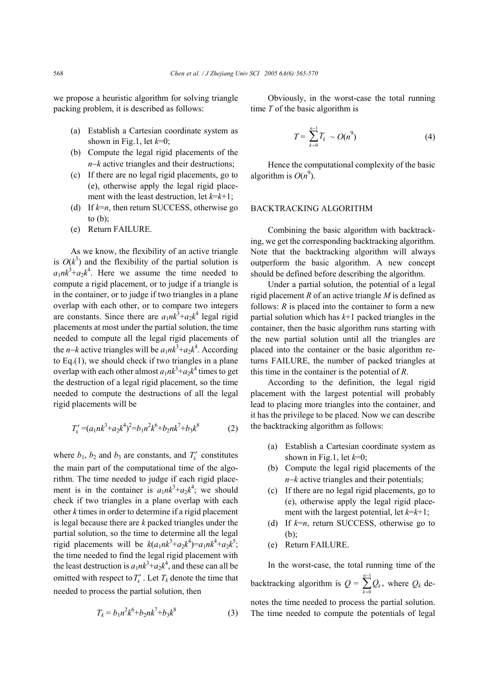we propose a heuristic algorithm for solving triangle packing problem, it is described as follows:

- (a) Establish a Cartesian coordinate system as shown in Fig.1, let *k*=0;
- (b) Compute the legal rigid placements of the *n*−*k* active triangles and their destructions;
- (c) If there are no legal rigid placements, go to (e), otherwise apply the legal rigid placement with the least destruction, let  $k=k+1$ ;
- (d) If  $k=n$ , then return SUCCESS, otherwise go to (b);
- (e) Return FAILURE.

As we know, the flexibility of an active triangle is  $O(k^3)$  and the flexibility of the partial solution is  $a_1nk^3 + a_2k^4$ . Here we assume the time needed to compute a rigid placement, or to judge if a triangle is in the container, or to judge if two triangles in a plane overlap with each other, or to compare two integers are constants. Since there are  $a_1nk^3+a_2k^4$  legal rigid placements at most under the partial solution, the time needed to compute all the legal rigid placements of the *n*−*k* active triangles will be  $a_1nk^3 + a_2k^4$ . According to Eq.(1), we should check if two triangles in a plane overlap with each other almost  $a_1nk^3 + a_2k^4$  times to get the destruction of a legal rigid placement, so the time needed to compute the destructions of all the legal rigid placements will be

$$
T'_{k} = (a_{1}nk^{3} + a_{2}k^{4})^{2} = b_{1}n^{2}k^{6} + b_{2}nk^{7} + b_{3}k^{8}
$$
 (2)

where  $b_1$ ,  $b_2$  and  $b_3$  are constants, and  $T_k'$  constitutes the main part of the computational time of the algorithm. The time needed to judge if each rigid placement is in the container is  $a_1nk^3+a_2k^4$ ; we should check if two triangles in a plane overlap with each other *k* times in order to determine if a rigid placement is legal because there are *k* packed triangles under the partial solution, so the time to determine all the legal rigid placements will be  $k(a_1nk^3 + a_2k^4) = a_1nk^4 + a_2k^5$ ; the time needed to find the legal rigid placement with the least destruction is  $a_1nk^3 + a_2k^4$ , and these can all be omitted with respect to  $T_k'$ . Let  $T_k$  denote the time that needed to process the partial solution, then

$$
T_k = b_1 n^2 k^6 + b_2 n k^7 + b_3 k^8 \tag{3}
$$

Obviously, in the worst-case the total running time *T* of the basic algorithm is

$$
T = \sum_{k=0}^{n-1} T_k \sim O(n^9)
$$
 (4)

Hence the computational complexity of the basic algorithm is  $O(n^9)$ .

### BACKTRACKING ALGORITHM

Combining the basic algorithm with backtracking, we get the corresponding backtracking algorithm. Note that the backtracking algorithm will always outperform the basic algorithm. A new concept should be defined before describing the algorithm.

Under a partial solution, the potential of a legal rigid placement *R* of an active triangle *M* is defined as follows: *R* is placed into the container to form a new partial solution which has *k*+1 packed triangles in the container, then the basic algorithm runs starting with the new partial solution until all the triangles are placed into the container or the basic algorithm returns FAILURE, the number of packed triangles at this time in the container is the potential of *R*.

According to the definition, the legal rigid placement with the largest potential will probably lead to placing more triangles into the container, and it has the privilege to be placed. Now we can describe the backtracking algorithm as follows:

- (a) Establish a Cartesian coordinate system as shown in Fig.1, let *k*=0;
- (b) Compute the legal rigid placements of the *n*−*k* active triangles and their potentials;
- (c) If there are no legal rigid placements, go to (e), otherwise apply the legal rigid placement with the largest potential, let  $k=k+1$ ;
- (d) If *k*=*n*, return SUCCESS, otherwise go to (b);
- (e) Return FAILURE.

In the worst-case, the total running time of the backtracking algorithm is *Q* = 1 0  $\sum_{\iota}^{n-1} Q_{\iota}$  $\sum_{k=0}$  $\mathcal{L}_k$ *Q* −  $\sum_{k=0} Q_k$ , where  $Q_k$  denotes the time needed to process the partial solution. The time needed to compute the potentials of legal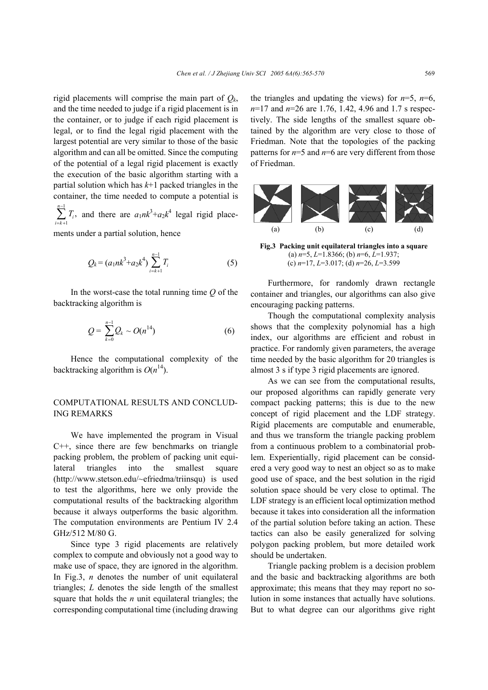rigid placements will comprise the main part of  $Q_k$ , and the time needed to judge if a rigid placement is in the container, or to judge if each rigid placement is legal, or to find the legal rigid placement with the largest potential are very similar to those of the basic algorithm and can all be omitted. Since the computing of the potential of a legal rigid placement is exactly the execution of the basic algorithm starting with a partial solution which has *k*+1 packed triangles in the container, the time needed to compute a potential is 1

1  $\sum_{i=1}^{n-1} T_{i}$  $\sum_{i=k+1} I_i$ *T* −  $\sum_{k=+1}^{n} T_i$ , and there are  $a_1 n k^3 + a_2 k^4$  legal rigid place-

ments under a partial solution, hence

$$
Q_k = (a_1 n k^3 + a_2 k^4) \sum_{i=k+1}^{n-1} T_i
$$
 (5)

In the worst-case the total running time *Q* of the backtracking algorithm is

$$
Q = \sum_{k=0}^{n-1} Q_k \sim O(n^{14})
$$
 (6)

Hence the computational complexity of the backtracking algorithm is  $O(n^{14})$ .

## COMPUTATIONAL RESULTS AND CONCLUD-ING REMARKS

We have implemented the program in Visual C++, since there are few benchmarks on triangle packing problem, the problem of packing unit equilateral triangles into the smallest square (http://www.stetson.edu/~efriedma/triinsqu) is used to test the algorithms, here we only provide the computational results of the backtracking algorithm because it always outperforms the basic algorithm. The computation environments are Pentium IV 2.4 GHz/512 M/80 G.

Since type 3 rigid placements are relatively complex to compute and obviously not a good way to make use of space, they are ignored in the algorithm. In Fig.3, *n* denotes the number of unit equilateral triangles; *L* denotes the side length of the smallest square that holds the *n* unit equilateral triangles; the corresponding computational time (including drawing the triangles and updating the views) for  $n=5$ ,  $n=6$ , *n*=17 and *n*=26 are 1.76, 1.42, 4.96 and 1.7 s respectively. The side lengths of the smallest square obtained by the algorithm are very close to those of Friedman. Note that the topologies of the packing patterns for *n*=5 and *n*=6 are very different from those of Friedman.



**Fig.3 Packing unit equilateral triangles into a square**  (a) *n*=5, *L*=1.8366; (b) *n*=6, *L*=1.937; (c) *n*=17, *L*=3.017; (d) *n*=26, *L*=3.599

Furthermore, for randomly drawn rectangle container and triangles, our algorithms can also give encouraging packing patterns.

Though the computational complexity analysis shows that the complexity polynomial has a high index, our algorithms are efficient and robust in practice. For randomly given parameters, the average time needed by the basic algorithm for 20 triangles is almost 3 s if type 3 rigid placements are ignored.

As we can see from the computational results, our proposed algorithms can rapidly generate very compact packing patterns; this is due to the new concept of rigid placement and the LDF strategy. Rigid placements are computable and enumerable, and thus we transform the triangle packing problem from a continuous problem to a combinatorial problem. Experientially, rigid placement can be considered a very good way to nest an object so as to make good use of space, and the best solution in the rigid solution space should be very close to optimal. The LDF strategy is an efficient local optimization method because it takes into consideration all the information of the partial solution before taking an action. These tactics can also be easily generalized for solving polygon packing problem, but more detailed work should be undertaken.

Triangle packing problem is a decision problem and the basic and backtracking algorithms are both approximate; this means that they may report no solution in some instances that actually have solutions. But to what degree can our algorithms give right